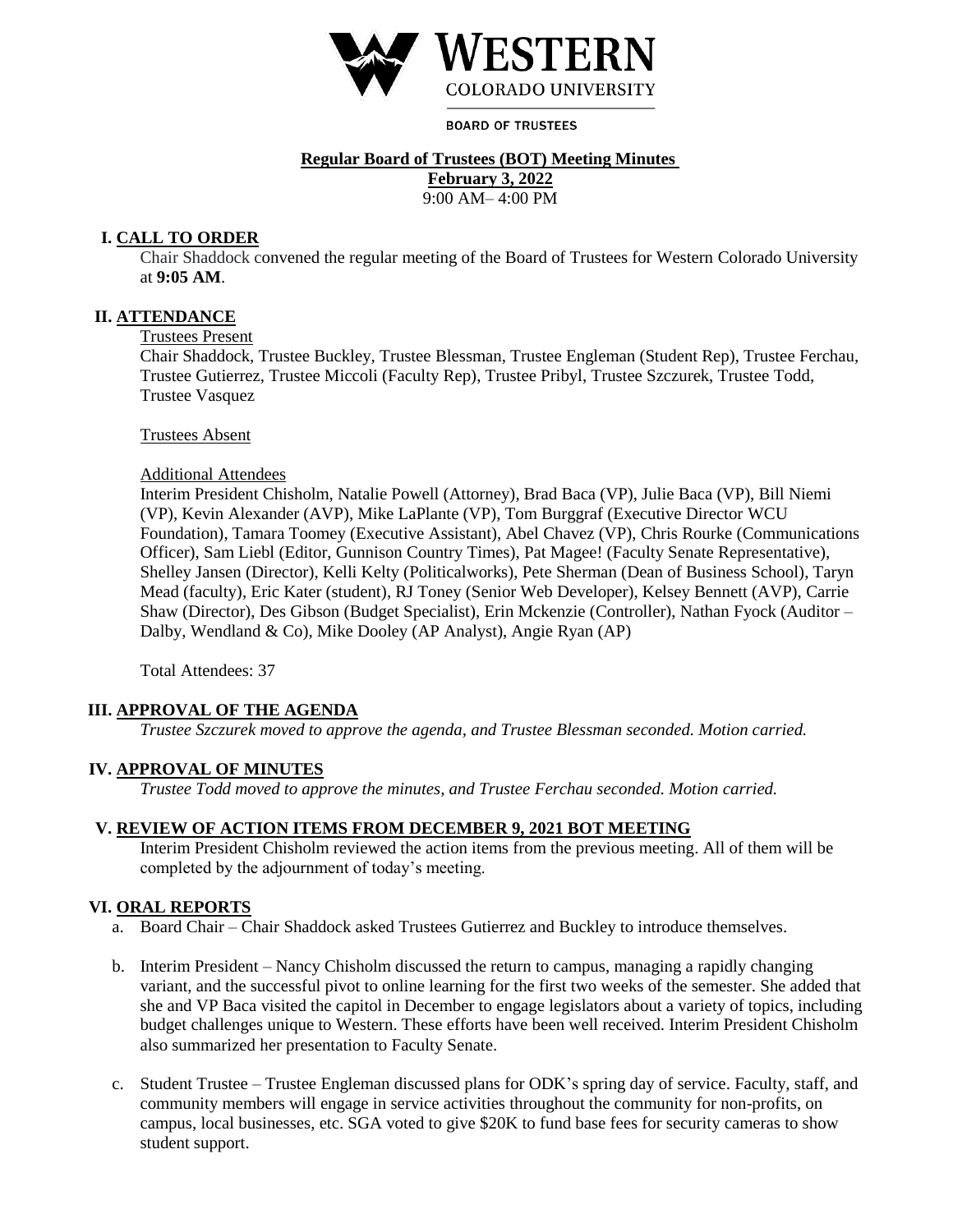

**BOARD OF TRUSTEES** 

## **Regular Board of Trustees (BOT) Meeting Minutes**

**February 3, 2022** 9:00 AM– 4:00 PM

# **I. CALL TO ORDER**

Chair Shaddock convened the regular meeting of the Board of Trustees for Western Colorado University at **9:05 AM**.

## **II. ATTENDANCE**

#### Trustees Present

Chair Shaddock, Trustee Buckley, Trustee Blessman, Trustee Engleman (Student Rep), Trustee Ferchau, Trustee Gutierrez, Trustee Miccoli (Faculty Rep), Trustee Pribyl, Trustee Szczurek, Trustee Todd, Trustee Vasquez

#### Trustees Absent

#### Additional Attendees

Interim President Chisholm, Natalie Powell (Attorney), Brad Baca (VP), Julie Baca (VP), Bill Niemi (VP), Kevin Alexander (AVP), Mike LaPlante (VP), Tom Burggraf (Executive Director WCU Foundation), Tamara Toomey (Executive Assistant), Abel Chavez (VP), Chris Rourke (Communications Officer), Sam Liebl (Editor, Gunnison Country Times), Pat Magee! (Faculty Senate Representative), Shelley Jansen (Director), Kelli Kelty (Politicalworks), Pete Sherman (Dean of Business School), Taryn Mead (faculty), Eric Kater (student), RJ Toney (Senior Web Developer), Kelsey Bennett (AVP), Carrie Shaw (Director), Des Gibson (Budget Specialist), Erin Mckenzie (Controller), Nathan Fyock (Auditor – Dalby, Wendland & Co), Mike Dooley (AP Analyst), Angie Ryan (AP)

Total Attendees: 37

### **III. APPROVAL OF THE AGENDA**

*Trustee Szczurek moved to approve the agenda, and Trustee Blessman seconded. Motion carried.* 

### **IV. APPROVAL OF MINUTES**

*Trustee Todd moved to approve the minutes, and Trustee Ferchau seconded. Motion carried.* 

## **V. REVIEW OF ACTION ITEMS FROM DECEMBER 9, 2021 BOT MEETING**

Interim President Chisholm reviewed the action items from the previous meeting. All of them will be completed by the adjournment of today's meeting.

## **VI. ORAL REPORTS**

- a. Board Chair Chair Shaddock asked Trustees Gutierrez and Buckley to introduce themselves.
- b. Interim President Nancy Chisholm discussed the return to campus, managing a rapidly changing variant, and the successful pivot to online learning for the first two weeks of the semester. She added that she and VP Baca visited the capitol in December to engage legislators about a variety of topics, including budget challenges unique to Western. These efforts have been well received. Interim President Chisholm also summarized her presentation to Faculty Senate.
- c. Student Trustee Trustee Engleman discussed plans for ODK's spring day of service. Faculty, staff, and community members will engage in service activities throughout the community for non-profits, on campus, local businesses, etc. SGA voted to give \$20K to fund base fees for security cameras to show student support.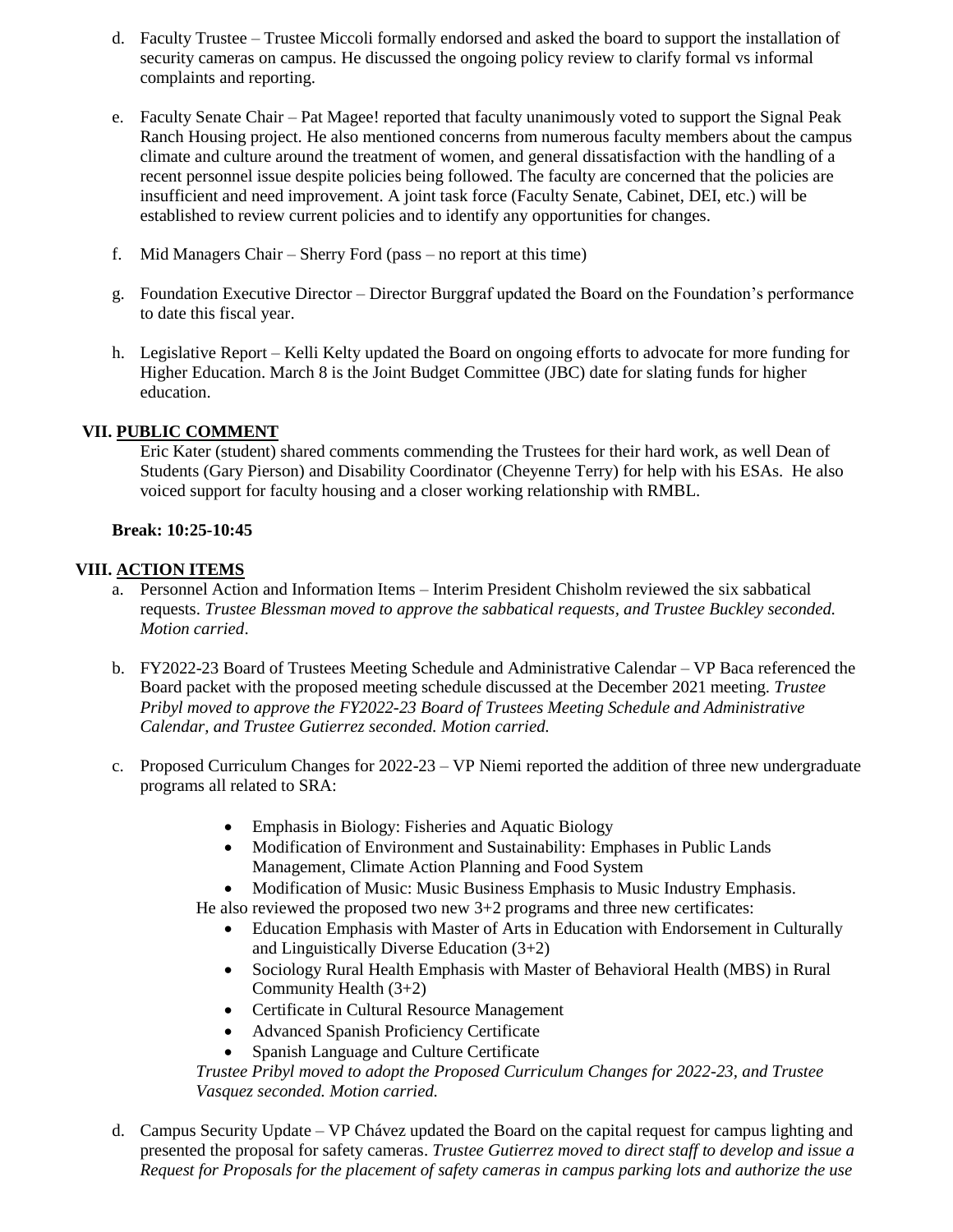- d. Faculty Trustee Trustee Miccoli formally endorsed and asked the board to support the installation of security cameras on campus. He discussed the ongoing policy review to clarify formal vs informal complaints and reporting.
- e. Faculty Senate Chair Pat Magee! reported that faculty unanimously voted to support the Signal Peak Ranch Housing project. He also mentioned concerns from numerous faculty members about the campus climate and culture around the treatment of women, and general dissatisfaction with the handling of a recent personnel issue despite policies being followed. The faculty are concerned that the policies are insufficient and need improvement. A joint task force (Faculty Senate, Cabinet, DEI, etc.) will be established to review current policies and to identify any opportunities for changes.
- f. Mid Managers Chair Sherry Ford (pass no report at this time)
- g. Foundation Executive Director Director Burggraf updated the Board on the Foundation's performance to date this fiscal year.
- h. Legislative Report Kelli Kelty updated the Board on ongoing efforts to advocate for more funding for Higher Education. March 8 is the Joint Budget Committee (JBC) date for slating funds for higher education.

#### **VII. PUBLIC COMMENT**

Eric Kater (student) shared comments commending the Trustees for their hard work, as well Dean of Students (Gary Pierson) and Disability Coordinator (Cheyenne Terry) for help with his ESAs. He also voiced support for faculty housing and a closer working relationship with RMBL.

#### **Break: 10:25-10:45**

#### **VIII. ACTION ITEMS**

- a. Personnel Action and Information Items Interim President Chisholm reviewed the six sabbatical requests. *Trustee Blessman moved to approve the sabbatical requests, and Trustee Buckley seconded. Motion carried*.
- b. FY2022-23 Board of Trustees Meeting Schedule and Administrative Calendar VP Baca referenced the Board packet with the proposed meeting schedule discussed at the December 2021 meeting. *Trustee Pribyl moved to approve the FY2022-23 Board of Trustees Meeting Schedule and Administrative Calendar, and Trustee Gutierrez seconded. Motion carried.*
- c. Proposed Curriculum Changes for 2022-23 VP Niemi reported the addition of three new undergraduate programs all related to SRA:
	- Emphasis in Biology: Fisheries and Aquatic Biology
	- Modification of Environment and Sustainability: Emphases in Public Lands Management, Climate Action Planning and Food System
	- Modification of Music: Music Business Emphasis to Music Industry Emphasis.
	- He also reviewed the proposed two new 3+2 programs and three new certificates:
		- Education Emphasis with Master of Arts in Education with Endorsement in Culturally and Linguistically Diverse Education (3+2)
		- Sociology Rural Health Emphasis with Master of Behavioral Health (MBS) in Rural Community Health (3+2)
		- Certificate in Cultural Resource Management
		- Advanced Spanish Proficiency Certificate
		- Spanish Language and Culture Certificate

*Trustee Pribyl moved to adopt the Proposed Curriculum Changes for 2022-23, and Trustee Vasquez seconded. Motion carried.* 

d. Campus Security Update – VP Chávez updated the Board on the capital request for campus lighting and presented the proposal for safety cameras. *Trustee Gutierrez moved to direct staff to develop and issue a Request for Proposals for the placement of safety cameras in campus parking lots and authorize the use*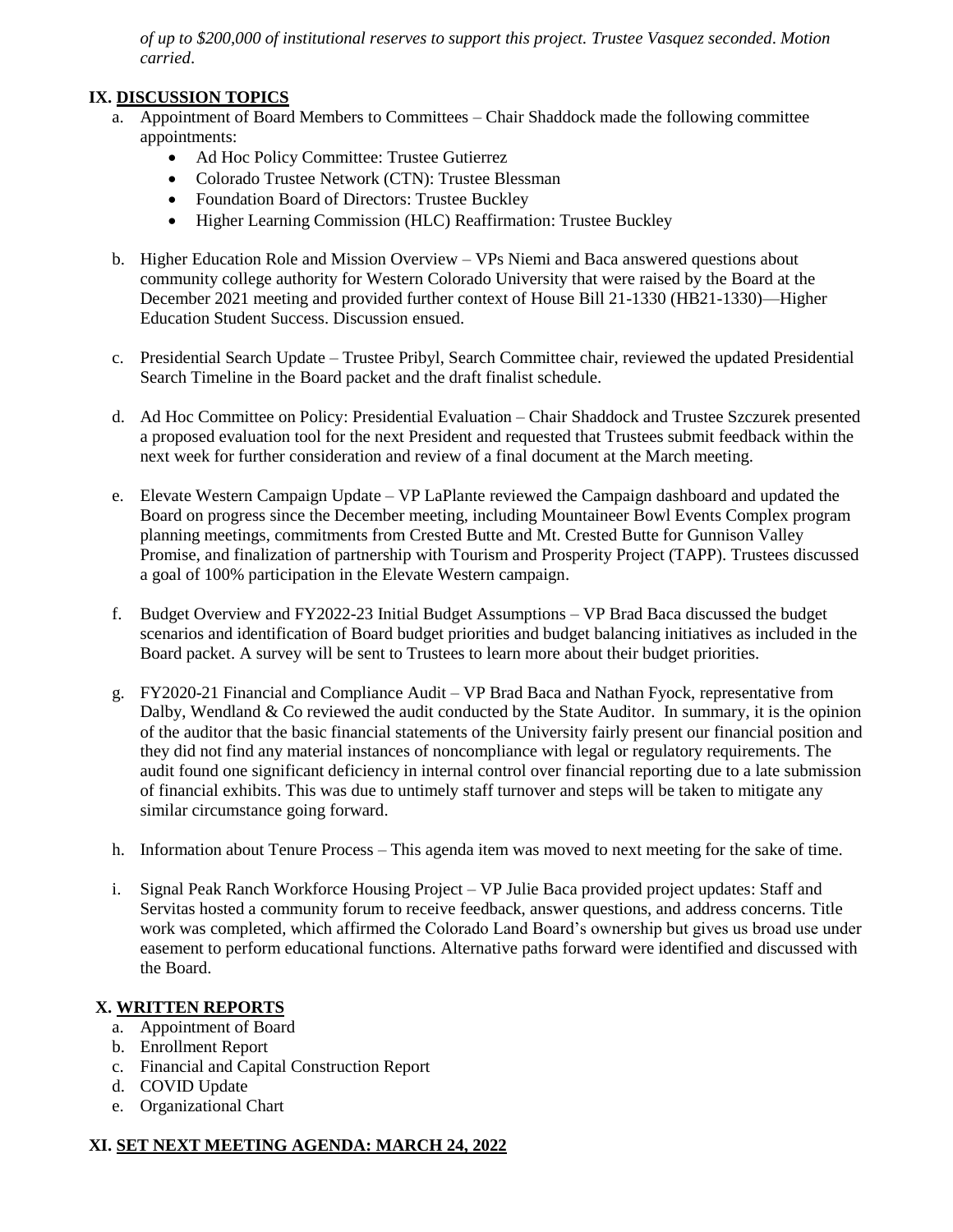*of up to \$200,000 of institutional reserves to support this project. Trustee Vasquez seconded*. *Motion carried*.

#### **IX. DISCUSSION TOPICS**

- a. Appointment of Board Members to Committees Chair Shaddock made the following committee appointments:
	- Ad Hoc Policy Committee: Trustee Gutierrez
	- Colorado Trustee Network (CTN): Trustee Blessman
	- Foundation Board of Directors: Trustee Buckley
	- Higher Learning Commission (HLC) Reaffirmation: Trustee Buckley
- b. Higher Education Role and Mission Overview VPs Niemi and Baca answered questions about community college authority for Western Colorado University that were raised by the Board at the December 2021 meeting and provided further context of House Bill 21-1330 (HB21-1330)—Higher Education Student Success. Discussion ensued.
- c. Presidential Search Update Trustee Pribyl, Search Committee chair, reviewed the updated Presidential Search Timeline in the Board packet and the draft finalist schedule.
- d. Ad Hoc Committee on Policy: Presidential Evaluation Chair Shaddock and Trustee Szczurek presented a proposed evaluation tool for the next President and requested that Trustees submit feedback within the next week for further consideration and review of a final document at the March meeting.
- e. Elevate Western Campaign Update VP LaPlante reviewed the Campaign dashboard and updated the Board on progress since the December meeting, including Mountaineer Bowl Events Complex program planning meetings, commitments from Crested Butte and Mt. Crested Butte for Gunnison Valley Promise, and finalization of partnership with Tourism and Prosperity Project (TAPP). Trustees discussed a goal of 100% participation in the Elevate Western campaign.
- f. Budget Overview and FY2022-23 Initial Budget Assumptions VP Brad Baca discussed the budget scenarios and identification of Board budget priorities and budget balancing initiatives as included in the Board packet. A survey will be sent to Trustees to learn more about their budget priorities.
- g. FY2020-21 Financial and Compliance Audit VP Brad Baca and Nathan Fyock, representative from Dalby, Wendland & Co reviewed the audit conducted by the State Auditor. In summary, it is the opinion of the auditor that the basic financial statements of the University fairly present our financial position and they did not find any material instances of noncompliance with legal or regulatory requirements. The audit found one significant deficiency in internal control over financial reporting due to a late submission of financial exhibits. This was due to untimely staff turnover and steps will be taken to mitigate any similar circumstance going forward.
- h. Information about Tenure Process This agenda item was moved to next meeting for the sake of time.
- i. Signal Peak Ranch Workforce Housing Project VP Julie Baca provided project updates: Staff and Servitas hosted a community forum to receive feedback, answer questions, and address concerns. Title work was completed, which affirmed the Colorado Land Board's ownership but gives us broad use under easement to perform educational functions. Alternative paths forward were identified and discussed with the Board.

### **X. WRITTEN REPORTS**

- a. Appointment of Board
- b. Enrollment Report
- c. Financial and Capital Construction Report
- d. COVID Update
- e. Organizational Chart

#### **XI. SET NEXT MEETING AGENDA: MARCH 24, 2022**